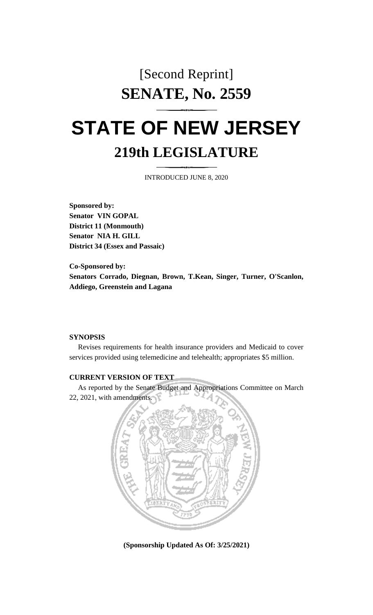# [Second Reprint] **SENATE, No. 2559 STATE OF NEW JERSEY**

# **219th LEGISLATURE**

INTRODUCED JUNE 8, 2020

**Sponsored by: Senator VIN GOPAL District 11 (Monmouth) Senator NIA H. GILL District 34 (Essex and Passaic)**

**Co-Sponsored by: Senators Corrado, Diegnan, Brown, T.Kean, Singer, Turner, O'Scanlon, Addiego, Greenstein and Lagana**

# **SYNOPSIS**

Revises requirements for health insurance providers and Medicaid to cover services provided using telemedicine and telehealth; appropriates \$5 million.

#### **CURRENT VERSION OF TEXT**

As reported by the Senate Budget and Appropriations Committee on March 22, 2021, with amendments.



**(Sponsorship Updated As Of: 3/25/2021)**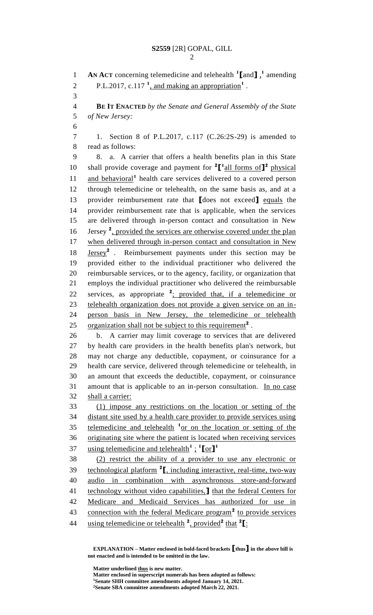**AN ACT** concerning telemedicine and telehealth **<sup>1</sup> [**and**]** , **1** amending 2 P.L.2017, c.117<sup> $1$ </sup>, and making an appropriation<sup>1</sup>. **BE IT ENACTED** *by the Senate and General Assembly of the State of New Jersey:* 1. Section 8 of P.L.2017, c.117 (C.26:2S-29) is amended to read as follows: 8. a. A carrier that offers a health benefits plan in this State 10 shall provide coverage and payment for  ${}^{2}$  $[$ <sup>1</sup> $\frac{1}{\text{all forms of}}]$ <sup>2</sup> physical 11 and behavioral<sup>1</sup> health care services delivered to a covered person through telemedicine or telehealth, on the same basis as, and at a provider reimbursement rate that **[**does not exceed**]** equals the provider reimbursement rate that is applicable, when the services are delivered through in-person contact and consultation in New 16 Jersey<sup>2</sup>, provided the services are otherwise covered under the plan when delivered through in-person contact and consultation in New **Jersey<sup>2</sup>** . Reimbursement payments under this section may be provided either to the individual practitioner who delivered the reimbursable services, or to the agency, facility, or organization that employs the individual practitioner who delivered the reimbursable 22 services, as appropriate <sup>2</sup>; provided that, if a telemedicine or telehealth organization does not provide a given service on an in- person basis in New Jersey, the telemedicine or telehealth 25 organization shall not be subject to this requirement<sup>2</sup>. b. A carrier may limit coverage to services that are delivered by health care providers in the health benefits plan's network, but may not charge any deductible, copayment, or coinsurance for a health care service, delivered through telemedicine or telehealth, in an amount that exceeds the deductible, copayment, or coinsurance 31 amount that is applicable to an in-person consultation. In no case shall a carrier: (1) impose any restrictions on the location or setting of the distant site used by a health care provider to provide services using 35 telemedicine and telehealth <sup>1</sup> or on the location or setting of the originating site where the patient is located when receiving services using telemedicine and telehealth**<sup>1</sup>** ; **1 [**or**] 1** (2) restrict the ability of a provider to use any electronic or 39 technological platform <sup>2</sup>, including interactive, real-time, two-way audio in combination with asynchronous store-and-forward technology without video capabilities,**]** that the federal Centers for Medicare and Medicaid Services has authorized for use in 43 connection with the federal Medicare program<sup>2</sup> to provide services using telemedicine or telehealth **<sup>2</sup>** , provided**<sup>2</sup>** that **<sup>2</sup> [**:

**EXPLANATION – Matter enclosed in bold-faced brackets [thus] in the above bill is not enacted and is intended to be omitted in the law.**

**Matter underlined thus is new matter. Matter enclosed in superscript numerals has been adopted as follows: Senate SHH committee amendments adopted January 14, 2021. Senate SBA committee amendments adopted March 22, 2021.**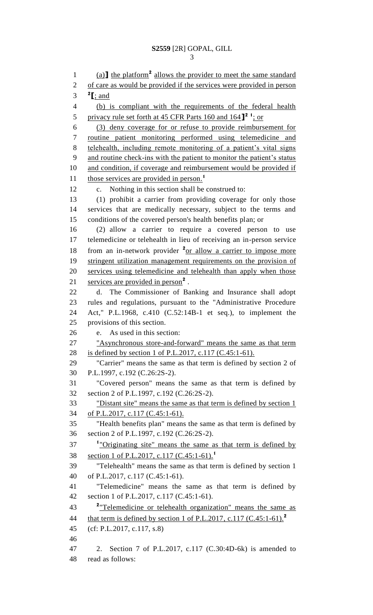1 (a) the platform<sup>2</sup> allows the provider to meet the same standard of care as would be provided if the services were provided in person  $^2$  **[**; and (b) is compliant with the requirements of the federal health 5 privacy rule set forth at 45 CFR Parts 160 and <sup>2</sup> <sup>1</sup>; or (3) deny coverage for or refuse to provide reimbursement for routine patient monitoring performed using telemedicine and telehealth, including remote monitoring of a patient's vital signs and routine check-ins with the patient to monitor the patient's status 10 and condition, if coverage and reimbursement would be provided if those services are provided in person. **1** c. Nothing in this section shall be construed to: (1) prohibit a carrier from providing coverage for only those services that are medically necessary, subject to the terms and conditions of the covered person's health benefits plan; or (2) allow a carrier to require a covered person to use telemedicine or telehealth in lieu of receiving an in-person service 18 from an in-network provider <sup>2</sup><u>or allow a carrier to impose more</u> 19 stringent utilization management requirements on the provision of services using telemedicine and telehealth than apply when those 21 services are provided in person<sup>2</sup>. d. The Commissioner of Banking and Insurance shall adopt rules and regulations, pursuant to the "Administrative Procedure Act," P.L.1968, c.410 (C.52:14B-1 et seq.), to implement the provisions of this section. e. As used in this section: "Asynchronous store-and-forward" means the same as that term is defined by section 1 of P.L.2017, c.117 (C.45:1-61). "Carrier" means the same as that term is defined by section 2 of P.L.1997, c.192 (C.26:2S-2). "Covered person" means the same as that term is defined by section 2 of P.L.1997, c.192 (C.26:2S-2). "Distant site" means the same as that term is defined by section 1 of P.L.2017, c.117 (C.45:1-61). "Health benefits plan" means the same as that term is defined by section 2 of P.L.1997, c.192 (C.26:2S-2). <sup>1</sup> "Originating site" means the same as that term is defined by section 1 of P.L.2017, c.117 (C.45:1-61).**<sup>1</sup>** "Telehealth" means the same as that term is defined by section 1 of P.L.2017, c.117 (C.45:1-61). "Telemedicine" means the same as that term is defined by section 1 of P.L.2017, c.117 (C.45:1-61). <sup>2</sup> Telemedicine or telehealth organization" means the same as that term is defined by section 1 of P.L.2017, c.117 (C.45:1-61).**<sup>2</sup>** (cf: P.L.2017, c.117, s.8) 2. Section 7 of P.L.2017, c.117 (C.30:4D-6k) is amended to read as follows: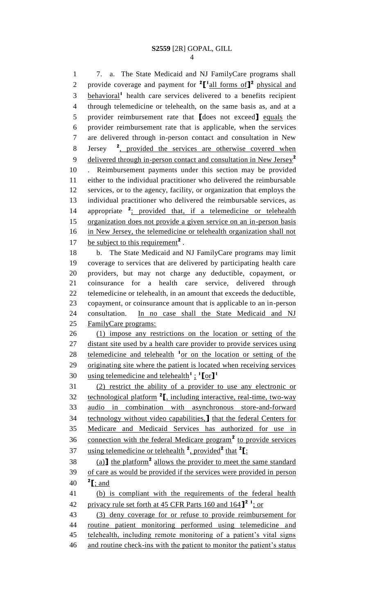7. a. The State Medicaid and NJ FamilyCare programs shall 2 provide coverage and payment for  $^2$ [ $^1$ all forms of]<sup>2</sup> physical and 3 behavioral<sup>1</sup> health care services delivered to a benefits recipient through telemedicine or telehealth, on the same basis as, and at a provider reimbursement rate that **[**does not exceed**]** equals the provider reimbursement rate that is applicable, when the services are delivered through in-person contact and consultation in New Jersey 8 Jersey <sup>2</sup>, provided the services are otherwise covered when delivered through in-person contact and consultation in New Jersey**<sup>2</sup>** . Reimbursement payments under this section may be provided either to the individual practitioner who delivered the reimbursable services, or to the agency, facility, or organization that employs the individual practitioner who delivered the reimbursable services, as 14 appropriate <sup>2</sup>; provided that, if a telemedicine or telehealth organization does not provide a given service on an in-person basis 16 in New Jersey, the telemedicine or telehealth organization shall not 17 be subject to this requirement<sup>2</sup>. b. The State Medicaid and NJ FamilyCare programs may limit coverage to services that are delivered by participating health care providers, but may not charge any deductible, copayment, or coinsurance for a health care service, delivered through telemedicine or telehealth, in an amount that exceeds the deductible, copayment, or coinsurance amount that is applicable to an in-person consultation. In no case shall the State Medicaid and NJ 25 FamilyCare programs: (1) impose any restrictions on the location or setting of the distant site used by a health care provider to provide services using 28 telemedicine and telehealth <sup>1</sup> or on the location or setting of the originating site where the patient is located when receiving services using telemedicine and telehealth**<sup>1</sup>**; **1 [**or**] 1** (2) restrict the ability of a provider to use any electronic or technological platform **<sup>2</sup> [**, including interactive, real-time, two-way audio in combination with asynchronous store-and-forward technology without video capabilities,**]** that the federal Centers for Medicare and Medicaid Services has authorized for use in 36 connection with the federal Medicare program<sup>2</sup> to provide services **using telemedicine or telehealth** <sup>2</sup>, provided<sup>2</sup> that <sup>2</sup>[:  $(38 \quad \text{(a)}$  I the platform<sup>2</sup> allows the provider to meet the same standard of care as would be provided if the services were provided in person  $\textbf{2}$  [; and (b) is compliant with the requirements of the federal health privacy rule set forth at 45 CFR Parts 160 and 164**] 2 1** ; or (3) deny coverage for or refuse to provide reimbursement for routine patient monitoring performed using telemedicine and telehealth, including remote monitoring of a patient's vital signs

46 and routine check-ins with the patient to monitor the patient's status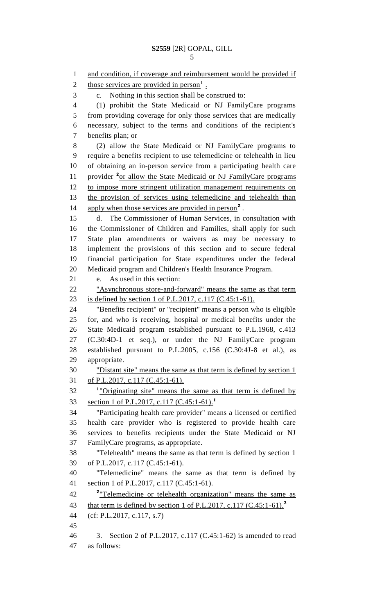```
5
```
1 and condition, if coverage and reimbursement would be provided if 2 those services are provided in person<sup>1</sup>. c. Nothing in this section shall be construed to: (1) prohibit the State Medicaid or NJ FamilyCare programs from providing coverage for only those services that are medically necessary, subject to the terms and conditions of the recipient's benefits plan; or (2) allow the State Medicaid or NJ FamilyCare programs to require a benefits recipient to use telemedicine or telehealth in lieu of obtaining an in-person service from a participating health care 11 provider <sup>2</sup><sub>or allow the State Medicaid or NJ FamilyCare programs</sub> to impose more stringent utilization management requirements on 13 the provision of services using telemedicine and telehealth than 14 apply when those services are provided in person<sup>2</sup>. d. The Commissioner of Human Services, in consultation with the Commissioner of Children and Families, shall apply for such State plan amendments or waivers as may be necessary to implement the provisions of this section and to secure federal financial participation for State expenditures under the federal Medicaid program and Children's Health Insurance Program. e. As used in this section: "Asynchronous store-and-forward" means the same as that term is defined by section 1 of P.L.2017, c.117 (C.45:1-61). "Benefits recipient" or "recipient" means a person who is eligible for, and who is receiving, hospital or medical benefits under the State Medicaid program established pursuant to P.L.1968, c.413 (C.30:4D-1 et seq.), or under the NJ FamilyCare program established pursuant to P.L.2005, c.156 (C.30:4J-8 et al.), as appropriate. "Distant site" means the same as that term is defined by section 1 of P.L.2017, c.117 (C.45:1-61). <sup>1</sup> "Originating site" means the same as that term is defined by section 1 of P.L.2017, c.117 (C.45:1-61).**<sup>1</sup>** "Participating health care provider" means a licensed or certified health care provider who is registered to provide health care services to benefits recipients under the State Medicaid or NJ FamilyCare programs, as appropriate. "Telehealth" means the same as that term is defined by section 1 of P.L.2017, c.117 (C.45:1-61). "Telemedicine" means the same as that term is defined by section 1 of P.L.2017, c.117 (C.45:1-61). "Telemedicine or telehealth organization" means the same as that term is defined by section 1 of P.L.2017, c.117 (C.45:1-61).**<sup>2</sup>** (cf: P.L.2017, c.117, s.7) 3. Section 2 of P.L.2017, c.117 (C.45:1-62) is amended to read as follows: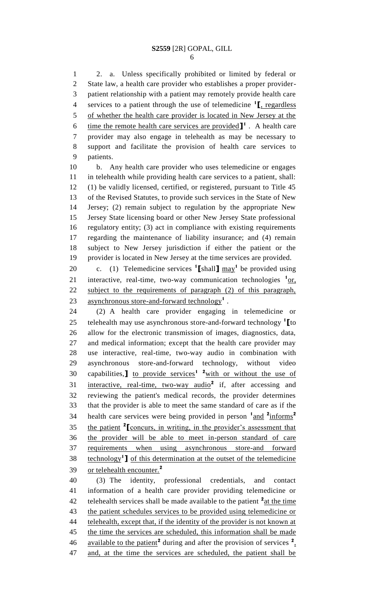2. a. Unless specifically prohibited or limited by federal or State law, a health care provider who establishes a proper provider- patient relationship with a patient may remotely provide health care services to a patient through the use of telemedicine **<sup>1</sup> [**, regardless of whether the health care provider is located in New Jersey at the 6 ime the remote health care services are provided  $\mathbf{I}^1$ . A health care provider may also engage in telehealth as may be necessary to support and facilitate the provision of health care services to patients.

 b. Any health care provider who uses telemedicine or engages in telehealth while providing health care services to a patient, shall: (1) be validly licensed, certified, or registered, pursuant to Title 45 of the Revised Statutes, to provide such services in the State of New Jersey; (2) remain subject to regulation by the appropriate New Jersey State licensing board or other New Jersey State professional regulatory entity; (3) act in compliance with existing requirements regarding the maintenance of liability insurance; and (4) remain subject to New Jersey jurisdiction if either the patient or the provider is located in New Jersey at the time services are provided.

20 c. (1) Telemedicine services  $\textbf{1}$  [shall]  $\text{max}$ <sup>1</sup> be provided using 21 interactive, real-time, two-way communication technologies <sup>1</sup>or, subject to the requirements of paragraph (2) of this paragraph, 23 asynchronous store-and-forward technology<sup>1</sup>.

 (2) A health care provider engaging in telemedicine or telehealth may use asynchronous store-and-forward technology **<sup>1</sup> [**to allow for the electronic transmission of images, diagnostics, data, and medical information; except that the health care provider may use interactive, real-time, two-way audio in combination with asynchronous store-and-forward technology, without video 30 capabilities, to provide services<sup>1</sup> <sup>2</sup> with or without the use of 31 interactive, real-time, two-way audio<sup>2</sup> if, after accessing and reviewing the patient's medical records, the provider determines that the provider is able to meet the same standard of care as if the health care services were being provided in person  $\frac{1 \text{ and } 2 \text{ informs}^2}{ }$  35 the patient <sup>2</sup> [concurs, in writing, in the provider's assessment that the provider will be able to meet in-person standard of care requirements when using asynchronous store-and forward 38 **Lechnology<sup>1</sup> ]** of this determination at the outset of the telemedicine or telehealth encounter.**<sup>2</sup>** 

 (3) The identity, professional credentials, and contact information of a health care provider providing telemedicine or 42 telehealth services shall be made available to the patient <sup>2</sup> at the time the patient schedules services to be provided using telemedicine or 44 telehealth, except that, if the identity of the provider is not known at 45 the time the services are scheduled, this information shall be made 46 available to the patient<sup>2</sup> during and after the provision of services  $2 \cdot$ and, at the time the services are scheduled, the patient shall be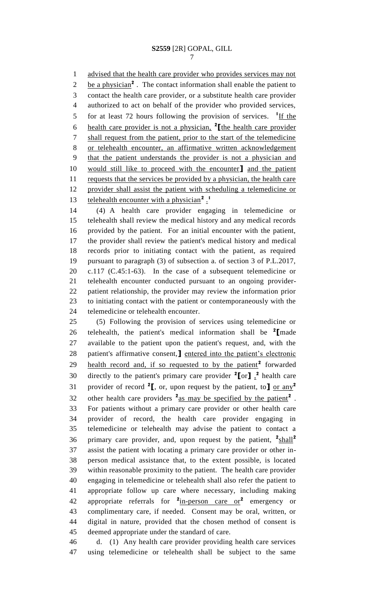1 advised that the health care provider who provides services may not 2 be a physician<sup>2</sup>. The contact information shall enable the patient to contact the health care provider, or a substitute health care provider authorized to act on behalf of the provider who provided services, 5 for at least 72 hours following the provision of services. <sup>1</sup>If the health care provider is not a physician, **<sup>2</sup> [**the health care provider shall request from the patient, prior to the start of the telemedicine or telehealth encounter, an affirmative written acknowledgement that the patient understands the provider is not a physician and would still like to proceed with the encounter**]** and the patient 11 requests that the services be provided by a physician, the health care provider shall assist the patient with scheduling a telemedicine or telehealth encounter with a physician**<sup>2</sup>** . **1** 

 (4) A health care provider engaging in telemedicine or telehealth shall review the medical history and any medical records provided by the patient. For an initial encounter with the patient, the provider shall review the patient's medical history and medical records prior to initiating contact with the patient, as required pursuant to paragraph (3) of subsection a. of section 3 of P.L.2017, c.117 (C.45:1-63). In the case of a subsequent telemedicine or telehealth encounter conducted pursuant to an ongoing provider- patient relationship, the provider may review the information prior to initiating contact with the patient or contemporaneously with the telemedicine or telehealth encounter.

 (5) Following the provision of services using telemedicine or telehealth, the patient's medical information shall be **<sup>2</sup> [**made available to the patient upon the patient's request, and, with the patient's affirmative consent,**]** entered into the patient's electronic 29 health record and, if so requested to by the patient<sup>2</sup> forwarded 30 directly to the patient's primary care provider  ${}^{2}$ [or]  ${}_{1}^{2}$  health care provider of record **<sup>2</sup> [**, or, upon request by the patient, to**]** or any**<sup>2</sup>** 32 other health care providers <sup>2</sup> as may be specified by the patient<sup>2</sup>. For patients without a primary care provider or other health care provider of record, the health care provider engaging in telemedicine or telehealth may advise the patient to contact a primary care provider, and, upon request by the patient, <sup>2</sup>shall<sup>2</sup> assist the patient with locating a primary care provider or other in- person medical assistance that, to the extent possible, is located within reasonable proximity to the patient. The health care provider engaging in telemedicine or telehealth shall also refer the patient to appropriate follow up care where necessary, including making appropriate referrals for **<sup>2</sup>** in-person care or**<sup>2</sup>** emergency or complimentary care, if needed. Consent may be oral, written, or digital in nature, provided that the chosen method of consent is deemed appropriate under the standard of care.

 d. (1) Any health care provider providing health care services using telemedicine or telehealth shall be subject to the same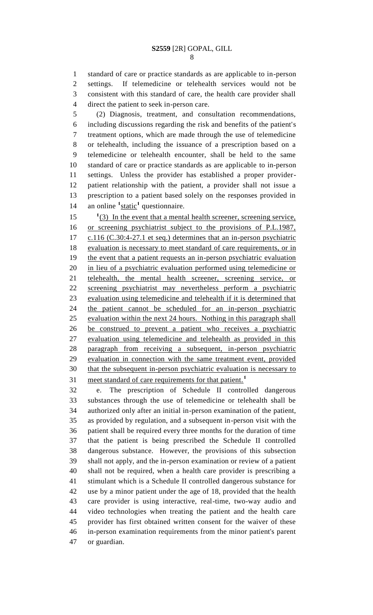standard of care or practice standards as are applicable to in-person settings. If telemedicine or telehealth services would not be consistent with this standard of care, the health care provider shall direct the patient to seek in-person care.

 (2) Diagnosis, treatment, and consultation recommendations, including discussions regarding the risk and benefits of the patient's treatment options, which are made through the use of telemedicine or telehealth, including the issuance of a prescription based on a telemedicine or telehealth encounter, shall be held to the same standard of care or practice standards as are applicable to in-person settings. Unless the provider has established a proper provider- patient relationship with the patient, a provider shall not issue a prescription to a patient based solely on the responses provided in 14 an online <sup>1</sup>static<sup>1</sup> questionnaire.

15 <sup>1</sup>(3) In the event that a mental health screener, screening service, or screening psychiatrist subject to the provisions of P.L.1987, 17 c.116 (C.30:4-27.1 et seq.) determines that an in-person psychiatric evaluation is necessary to meet standard of care requirements, or in the event that a patient requests an in-person psychiatric evaluation in lieu of a psychiatric evaluation performed using telemedicine or telehealth, the mental health screener, screening service, or screening psychiatrist may nevertheless perform a psychiatric evaluation using telemedicine and telehealth if it is determined that the patient cannot be scheduled for an in-person psychiatric evaluation within the next 24 hours. Nothing in this paragraph shall be construed to prevent a patient who receives a psychiatric evaluation using telemedicine and telehealth as provided in this paragraph from receiving a subsequent, in-person psychiatric evaluation in connection with the same treatment event, provided that the subsequent in-person psychiatric evaluation is necessary to meet standard of care requirements for that patient.<sup>1</sup> 

 e. The prescription of Schedule II controlled dangerous substances through the use of telemedicine or telehealth shall be authorized only after an initial in-person examination of the patient, as provided by regulation, and a subsequent in-person visit with the patient shall be required every three months for the duration of time that the patient is being prescribed the Schedule II controlled dangerous substance. However, the provisions of this subsection shall not apply, and the in-person examination or review of a patient shall not be required, when a health care provider is prescribing a stimulant which is a Schedule II controlled dangerous substance for use by a minor patient under the age of 18, provided that the health care provider is using interactive, real-time, two-way audio and video technologies when treating the patient and the health care provider has first obtained written consent for the waiver of these in-person examination requirements from the minor patient's parent or guardian.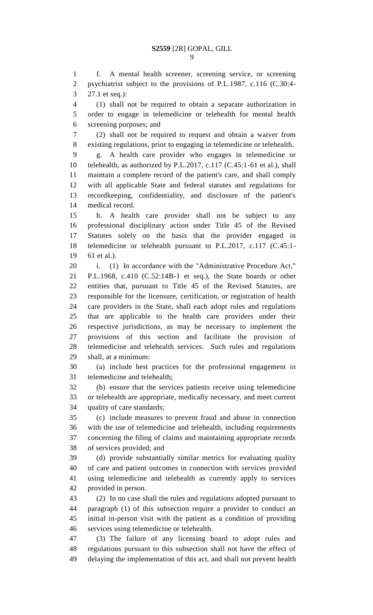f. A mental health screener, screening service, or screening psychiatrist subject to the provisions of P.L.1987, c.116 (C.30:4- 27.1 et seq.):

 (1) shall not be required to obtain a separate authorization in order to engage in telemedicine or telehealth for mental health screening purposes; and

 (2) shall not be required to request and obtain a waiver from existing regulations, prior to engaging in telemedicine or telehealth.

 g. A health care provider who engages in telemedicine or telehealth, as authorized by P.L.2017, c.117 (C.45:1-61 et al.), shall maintain a complete record of the patient's care, and shall comply with all applicable State and federal statutes and regulations for recordkeeping, confidentiality, and disclosure of the patient's medical record.

 h. A health care provider shall not be subject to any professional disciplinary action under Title 45 of the Revised Statutes solely on the basis that the provider engaged in telemedicine or telehealth pursuant to P.L.2017, c.117 (C.45:1- 61 et al.).

i. (1) In accordance with the "Administrative Procedure Act,"

 P.L.1968, c.410 (C.52:14B-1 et seq.), the State boards or other entities that, pursuant to Title 45 of the Revised Statutes, are responsible for the licensure, certification, or registration of health care providers in the State, shall each adopt rules and regulations that are applicable to the health care providers under their respective jurisdictions, as may be necessary to implement the provisions of this section and facilitate the provision of telemedicine and telehealth services. Such rules and regulations shall, at a minimum:

 (a) include best practices for the professional engagement in telemedicine and telehealth;

 (b) ensure that the services patients receive using telemedicine or telehealth are appropriate, medically necessary, and meet current quality of care standards;

 (c) include measures to prevent fraud and abuse in connection with the use of telemedicine and telehealth, including requirements concerning the filing of claims and maintaining appropriate records of services provided; and

 (d) provide substantially similar metrics for evaluating quality of care and patient outcomes in connection with services provided using telemedicine and telehealth as currently apply to services provided in person.

 (2) In no case shall the rules and regulations adopted pursuant to paragraph (1) of this subsection require a provider to conduct an initial in-person visit with the patient as a condition of providing services using telemedicine or telehealth.

 (3) The failure of any licensing board to adopt rules and regulations pursuant to this subsection shall not have the effect of delaying the implementation of this act, and shall not prevent health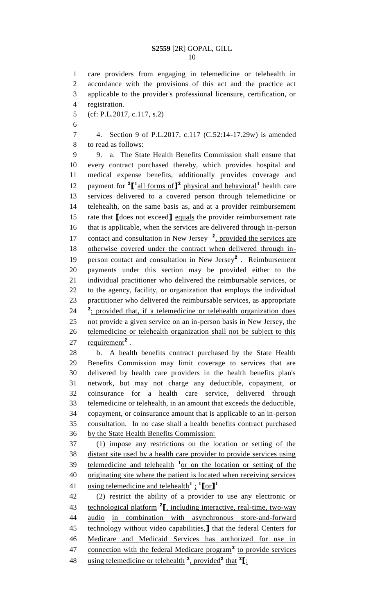care providers from engaging in telemedicine or telehealth in accordance with the provisions of this act and the practice act applicable to the provider's professional licensure, certification, or registration. (cf: P.L.2017, c.117, s.2) 4. Section 9 of P.L.2017, c.117 (C.52:14-17.29w) is amended to read as follows: 9. a. The State Health Benefits Commission shall ensure that every contract purchased thereby, which provides hospital and medical expense benefits, additionally provides coverage and 12 payment for <sup>2</sup><sup>[1</sup> all forms of<sup>1</sup><sup>2</sup> physical and behavioral<sup>1</sup> health care services delivered to a covered person through telemedicine or telehealth, on the same basis as, and at a provider reimbursement rate that **[**does not exceed**]** equals the provider reimbursement rate that is applicable, when the services are delivered through in-person 17 contact and consultation in New Jersey <sup>2</sup>, provided the services are otherwise covered under the contract when delivered through in-19 person contact and consultation in New Jersey<sup>2</sup>. Reimbursement payments under this section may be provided either to the individual practitioner who delivered the reimbursable services, or to the agency, facility, or organization that employs the individual practitioner who delivered the reimbursable services, as appropriate <sup>2</sup>: provided that, if a telemedicine or telehealth organization does not provide a given service on an in-person basis in New Jersey, the telemedicine or telehealth organization shall not be subject to this 27 requirement<sup>2</sup>. b. A health benefits contract purchased by the State Health Benefits Commission may limit coverage to services that are delivered by health care providers in the health benefits plan's network, but may not charge any deductible, copayment, or coinsurance for a health care service, delivered through telemedicine or telehealth, in an amount that exceeds the deductible, copayment, or coinsurance amount that is applicable to an in-person consultation. In no case shall a health benefits contract purchased by the State Health Benefits Commission: (1) impose any restrictions on the location or setting of the distant site used by a health care provider to provide services using 39 telemedicine and telehealth <sup>1</sup> or on the location or setting of the originating site where the patient is located when receiving services using telemedicine and telehealth**<sup>1</sup>** ; **1 [**or**] 1** (2) restrict the ability of a provider to use any electronic or 43 technological platform <sup>2</sup><sub>I</sub>, including interactive, real-time, two-way audio in combination with asynchronous store-and-forward technology without video capabilities,**]** that the federal Centers for Medicare and Medicaid Services has authorized for use in 47 connection with the federal Medicare program<sup>2</sup> to provide services using telemedicine or telehealth **<sup>2</sup>** , provided**<sup>2</sup>** that **<sup>2</sup> [**: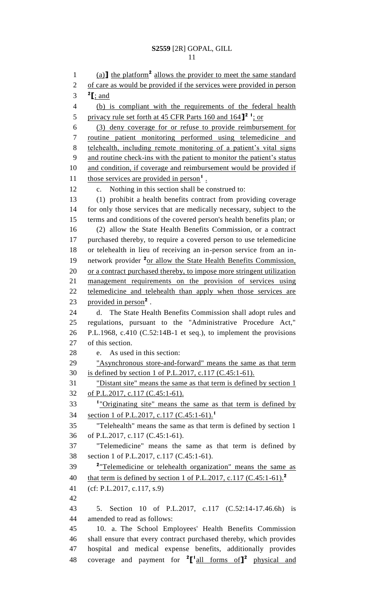1 (a) the platform<sup>2</sup> allows the provider to meet the same standard 2 of care as would be provided if the services were provided in person  $^2$  **[**; and (b) is compliant with the requirements of the federal health 5 privacy rule set forth at 45 CFR Parts 160 and 164<sup>1</sup> i<sub>s</sub> or (3) deny coverage for or refuse to provide reimbursement for routine patient monitoring performed using telemedicine and telehealth, including remote monitoring of a patient's vital signs and routine check-ins with the patient to monitor the patient's status 10 and condition, if coverage and reimbursement would be provided if 11 those services are provided in person<sup>1</sup>. c. Nothing in this section shall be construed to: (1) prohibit a health benefits contract from providing coverage for only those services that are medically necessary, subject to the terms and conditions of the covered person's health benefits plan; or (2) allow the State Health Benefits Commission, or a contract purchased thereby, to require a covered person to use telemedicine or telehealth in lieu of receiving an in-person service from an in-19 network provider <sup>2</sup><sub>or allow the State Health Benefits Commission,</sub> 20 or a contract purchased thereby, to impose more stringent utilization management requirements on the provision of services using telemedicine and telehealth than apply when those services are 23 provided in person<sup>2</sup>. d. The State Health Benefits Commission shall adopt rules and regulations, pursuant to the "Administrative Procedure Act," P.L.1968, c.410 (C.52:14B-1 et seq.), to implement the provisions of this section. e. As used in this section: "Asynchronous store-and-forward" means the same as that term is defined by section 1 of P.L.2017, c.117 (C.45:1-61). "Distant site" means the same as that term is defined by section 1 of P.L.2017, c.117 (C.45:1-61). <sup>1</sup> "Originating site" means the same as that term is defined by section 1 of P.L.2017, c.117 (C.45:1-61).**<sup>1</sup>** "Telehealth" means the same as that term is defined by section 1 of P.L.2017, c.117 (C.45:1-61). "Telemedicine" means the same as that term is defined by section 1 of P.L.2017, c.117 (C.45:1-61). "Telemedicine or telehealth organization" means the same as that term is defined by section 1 of P.L.2017, c.117 (C.45:1-61).**<sup>2</sup>** (cf: P.L.2017, c.117, s.9) 5. Section 10 of P.L.2017, c.117 (C.52:14-17.46.6h) is amended to read as follows: 10. a. The School Employees' Health Benefits Commission shall ensure that every contract purchased thereby, which provides hospital and medical expense benefits, additionally provides 48 coverage and payment for  ${}^{2}$  $[$ <sup>1</sup>all forms of $]$ <sup>2</sup> physical and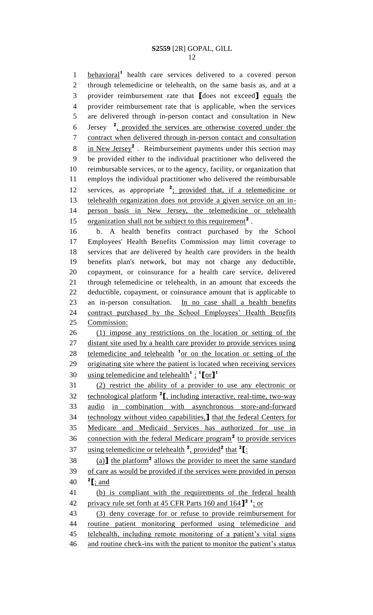**behavioral<sup>1</sup>** health care services delivered to a covered person through telemedicine or telehealth, on the same basis as, and at a provider reimbursement rate that **[**does not exceed**]** equals the provider reimbursement rate that is applicable, when the services are delivered through in-person contact and consultation in New 6 Jersey <sup>2</sup>, provided the services are otherwise covered under the contract when delivered through in-person contact and consultation 8 in New Jersey<sup>2</sup>. Reimbursement payments under this section may be provided either to the individual practitioner who delivered the reimbursable services, or to the agency, facility, or organization that employs the individual practitioner who delivered the reimbursable 12 services, as appropriate <sup>2</sup>; provided that, if a telemedicine or telehealth organization does not provide a given service on an in- person basis in New Jersey, the telemedicine or telehealth 15 organization shall not be subject to this requirement<sup>2</sup>.

 b. A health benefits contract purchased by the School Employees' Health Benefits Commission may limit coverage to services that are delivered by health care providers in the health benefits plan's network, but may not charge any deductible, copayment, or coinsurance for a health care service, delivered through telemedicine or telehealth, in an amount that exceeds the deductible, copayment, or coinsurance amount that is applicable to an in-person consultation. In no case shall a health benefits contract purchased by the School Employees' Health Benefits Commission:

 (1) impose any restrictions on the location or setting of the 27 distant site used by a health care provider to provide services using 28 telemedicine and telehealth <sup>1</sup> or on the location or setting of the originating site where the patient is located when receiving services using telemedicine and telehealth**<sup>1</sup>** ; **1 [**or**] 1** 

 (2) restrict the ability of a provider to use any electronic or technological platform **<sup>2</sup> [**, including interactive, real-time, two-way audio in combination with asynchronous store-and-forward technology without video capabilities,**]** that the federal Centers for Medicare and Medicaid Services has authorized for use in 36 connection with the federal Medicare program<sup>2</sup> to provide services using telemedicine or telehealth **<sup>2</sup>** , provided**<sup>2</sup>** that **<sup>2</sup> [**:

 $(38 \quad \text{(a)}$  the platform<sup>2</sup> allows the provider to meet the same standard of care as would be provided if the services were provided in person 40  $\textbf{2}$  [; and

 (b) is compliant with the requirements of the federal health 42 privacy rule set forth at 45 CFR Parts 160 and 164<sup>1</sup> i<sub>s</sub> or

 (3) deny coverage for or refuse to provide reimbursement for routine patient monitoring performed using telemedicine and telehealth, including remote monitoring of a patient's vital signs 46 and routine check-ins with the patient to monitor the patient's status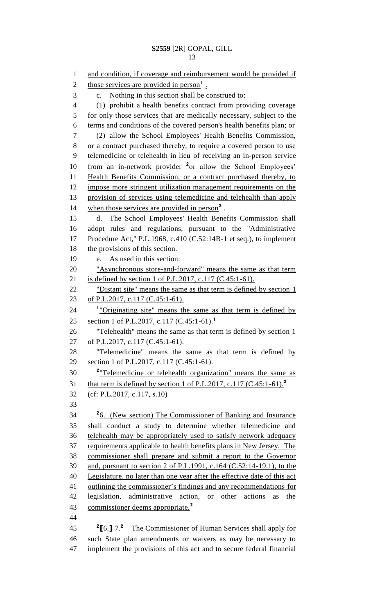1 and condition, if coverage and reimbursement would be provided if 2 those services are provided in person<sup>1</sup>. c. Nothing in this section shall be construed to: (1) prohibit a health benefits contract from providing coverage for only those services that are medically necessary, subject to the terms and conditions of the covered person's health benefits plan; or (2) allow the School Employees' Health Benefits Commission, or a contract purchased thereby, to require a covered person to use telemedicine or telehealth in lieu of receiving an in-person service 10 from an in-network provider <sup>2</sup>or allow the School Employees' Health Benefits Commission, or a contract purchased thereby, to impose more stringent utilization management requirements on the provision of services using telemedicine and telehealth than apply 14 when those services are provided in person<sup>2</sup>. d. The School Employees' Health Benefits Commission shall adopt rules and regulations, pursuant to the "Administrative Procedure Act," P.L.1968, c.410 (C.52:14B-1 et seq.), to implement the provisions of this section. e. As used in this section: "Asynchronous store-and-forward" means the same as that term is defined by section 1 of P.L.2017, c.117 (C.45:1-61). 22 "Distant site" means the same as that term is defined by section 1 of P.L.2017, c.117 (C.45:1-61). 24 <sup>1</sup> <u>"Originating site"</u> means the same as that term is defined by section 1 of P.L.2017, c.117 (C.45:1-61).<sup>1</sup> "Telehealth" means the same as that term is defined by section 1 of P.L.2017, c.117 (C.45:1-61). "Telemedicine" means the same as that term is defined by section 1 of P.L.2017, c.117 (C.45:1-61). "Telemedicine or telehealth organization" means the same as that term is defined by section 1 of P.L.2017, c.117 (C.45:1-61).**<sup>2</sup>** (cf: P.L.2017, c.117, s.10) <sup>2</sup><sub>6.</sub> (New section) The Commissioner of Banking and Insurance shall conduct a study to determine whether telemedicine and telehealth may be appropriately used to satisfy network adequacy requirements applicable to health benefits plans in New Jersey. The commissioner shall prepare and submit a report to the Governor and, pursuant to section 2 of P.L.1991, c.164 (C.52:14-19.1), to the 40 Legislature, no later than one year after the effective date of this act outlining the commissioner's findings and any recommendations for legislation, administrative action, or other actions as the commissioner deems appropriate.**<sup>2</sup> [**6.**]** 7.**<sup>2</sup>** The Commissioner of Human Services shall apply for

 such State plan amendments or waivers as may be necessary to implement the provisions of this act and to secure federal financial